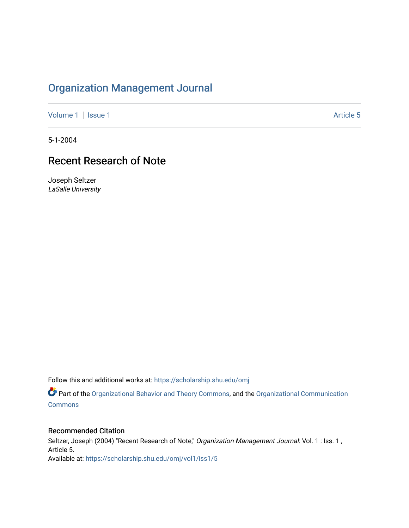# [Organization Management Journal](https://scholarship.shu.edu/omj)

[Volume 1](https://scholarship.shu.edu/omj/vol1) | [Issue 1](https://scholarship.shu.edu/omj/vol1/iss1) Article 5

5-1-2004

# Recent Research of Note

Joseph Seltzer LaSalle University

Follow this and additional works at: [https://scholarship.shu.edu/omj](https://scholarship.shu.edu/omj?utm_source=scholarship.shu.edu%2Fomj%2Fvol1%2Fiss1%2F5&utm_medium=PDF&utm_campaign=PDFCoverPages) 

Part of the [Organizational Behavior and Theory Commons,](http://network.bepress.com/hgg/discipline/639?utm_source=scholarship.shu.edu%2Fomj%2Fvol1%2Fiss1%2F5&utm_medium=PDF&utm_campaign=PDFCoverPages) and the [Organizational Communication](http://network.bepress.com/hgg/discipline/335?utm_source=scholarship.shu.edu%2Fomj%2Fvol1%2Fiss1%2F5&utm_medium=PDF&utm_campaign=PDFCoverPages) [Commons](http://network.bepress.com/hgg/discipline/335?utm_source=scholarship.shu.edu%2Fomj%2Fvol1%2Fiss1%2F5&utm_medium=PDF&utm_campaign=PDFCoverPages)

### Recommended Citation

Seltzer, Joseph (2004) "Recent Research of Note," Organization Management Journal: Vol. 1 : Iss. 1, Article 5. Available at: [https://scholarship.shu.edu/omj/vol1/iss1/5](https://scholarship.shu.edu/omj/vol1/iss1/5?utm_source=scholarship.shu.edu%2Fomj%2Fvol1%2Fiss1%2F5&utm_medium=PDF&utm_campaign=PDFCoverPages)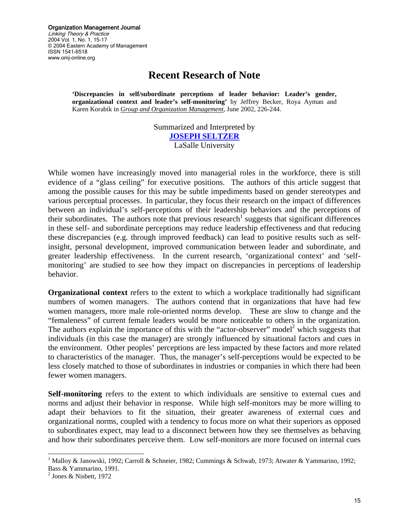Organization Management Journal Linking Theory & Practice 2004 Vol. 1, No. 1, 15-17 © 2004 Eastern Academy of Management ISSN 1541-6518 www.omj-online.org

### **Recent Research of Note**

**'Discrepancies in self/subordinate perceptions of leader behavior: Leader's gender, organizational context and leader's self-monitoring'** by Jeffrey Becker, Roya Ayman and Karen Korabik in *Group and Organization Management*, June 2002, 226-244.

> Summarized and Interpreted by **[JOSEPH SELTZER](mailto:SELTZER@lasalle.edu)** LaSalle University

While women have increasingly moved into managerial roles in the workforce, there is still evidence of a "glass ceiling" for executive positions. The authors of this article suggest that among the possible causes for this may be subtle impediments based on gender stereotypes and various perceptual processes. In particular, they focus their research on the impact of differences between an individual's self-perceptions of their leadership behaviors and the perceptions of their subordinates. The authors note that previous research<sup>1</sup> suggests that significant differences in these self- and subordinate perceptions may reduce leadership effectiveness and that reducing these discrepancies (e.g. through improved feedback) can lead to positive results such as selfinsight, personal development, improved communication between leader and subordinate, and greater leadership effectiveness. In the current research, 'organizational context' and 'selfmonitoring' are studied to see how they impact on discrepancies in perceptions of leadership behavior.

**Organizational context** refers to the extent to which a workplace traditionally had significant numbers of women managers. The authors contend that in organizations that have had few women managers, more male role-oriented norms develop. These are slow to change and the "femaleness" of current female leaders would be more noticeable to others in the organization. The authors explain the importance of this with the "actor-observer" model<sup>[2](#page-1-1)</sup> which suggests that individuals (in this case the manager) are strongly influenced by situational factors and cues in the environment. Other peoples' perceptions are less impacted by these factors and more related to characteristics of the manager. Thus, the manager's self-perceptions would be expected to be less closely matched to those of subordinates in industries or companies in which there had been fewer women managers.

**Self-monitoring** refers to the extent to which individuals are sensitive to external cues and norms and adjust their behavior in response. While high self-monitors may be more willing to adapt their behaviors to fit the situation, their greater awareness of external cues and organizational norms, coupled with a tendency to focus more on what their superiors as opposed to subordinates expect, may lead to a disconnect between how they see themselves as behaving and how their subordinates perceive them. Low self-monitors are more focused on internal cues

<span id="page-1-0"></span><sup>|&</sup>lt;br>|<br>| <sup>1</sup> Malloy & Janowski, 1992; Carroll & Schneier, 1982; Cummings & Schwab, 1973; Atwater & Yammarino, 1992; Bass & Yammarino, 1991. 2 Jones & Nisbett, 1972

<span id="page-1-1"></span>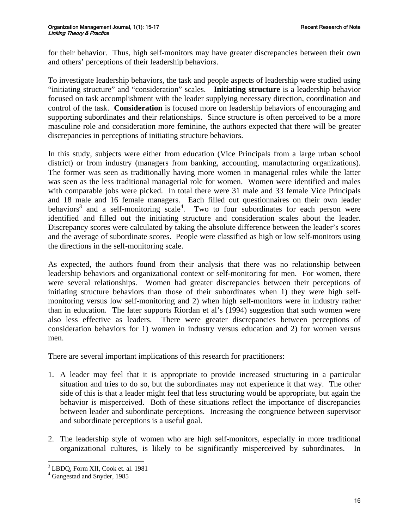for their behavior. Thus, high self-monitors may have greater discrepancies between their own and others' perceptions of their leadership behaviors.

To investigate leadership behaviors, the task and people aspects of leadership were studied using "initiating structure" and "consideration" scales. **Initiating structure** is a leadership behavior focused on task accomplishment with the leader supplying necessary direction, coordination and control of the task. **Consideration** is focused more on leadership behaviors of encouraging and supporting subordinates and their relationships. Since structure is often perceived to be a more masculine role and consideration more feminine, the authors expected that there will be greater discrepancies in perceptions of initiating structure behaviors.

In this study, subjects were either from education (Vice Principals from a large urban school district) or from industry (managers from banking, accounting, manufacturing organizations). The former was seen as traditionally having more women in managerial roles while the latter was seen as the less traditional managerial role for women. Women were identified and males with comparable jobs were picked. In total there were 31 male and 33 female Vice Principals and 18 male and 16 female managers. Each filled out questionnaires on their own leader behaviors<sup>[3](#page-2-0)</sup> and a self-monitoring scale<sup>[4](#page-2-1)</sup>. Two to four subordinates for each person were identified and filled out the initiating structure and consideration scales about the leader. Discrepancy scores were calculated by taking the absolute difference between the leader's scores and the average of subordinate scores. People were classified as high or low self-monitors using the directions in the self-monitoring scale.

As expected, the authors found from their analysis that there was no relationship between leadership behaviors and organizational context or self-monitoring for men. For women, there were several relationships. Women had greater discrepancies between their perceptions of initiating structure behaviors than those of their subordinates when 1) they were high selfmonitoring versus low self-monitoring and 2) when high self-monitors were in industry rather than in education. The later supports Riordan et al's (1994) suggestion that such women were also less effective as leaders. There were greater discrepancies between perceptions of consideration behaviors for 1) women in industry versus education and 2) for women versus men.

There are several important implications of this research for practitioners:

- 1. A leader may feel that it is appropriate to provide increased structuring in a particular situation and tries to do so, but the subordinates may not experience it that way. The other side of this is that a leader might feel that less structuring would be appropriate, but again the behavior is misperceived. Both of these situations reflect the importance of discrepancies between leader and subordinate perceptions. Increasing the congruence between supervisor and subordinate perceptions is a useful goal.
- 2. The leadership style of women who are high self-monitors, especially in more traditional organizational cultures, is likely to be significantly misperceived by subordinates. In

<span id="page-2-0"></span><sup>&</sup>lt;sup>3</sup> LBDQ, Form XII, Cook et. al. 1981

<span id="page-2-1"></span>Gangestad and Snyder, 1985